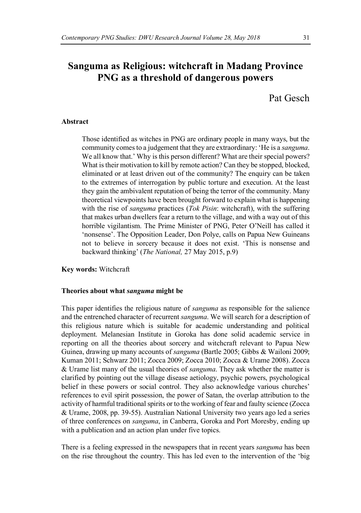# **Sanguma as Religious: witchcraft in Madang Province PNG as a threshold of dangerous powers**

Pat Gesch

# **Abstract**

Those identified as witches in PNG are ordinary people in many ways, but the community comesto a judgement that they are extraordinary: 'He is a *sanguma*. We all know that.' Why is this person different? What are their special powers? What is their motivation to kill by remote action? Can they be stopped, blocked, eliminated or at least driven out of the community? The enquiry can be taken to the extremes of interrogation by public torture and execution. At the least they gain the ambivalent reputation of being the terror of the community. Many theoretical viewpoints have been brought forward to explain what is happening with the rise of *sanguma* practices (*Tok Pisin*: witchcraft), with the suffering that makes urban dwellers fear a return to the village, and with a way out of this horrible vigilantism. The Prime Minister of PNG, Peter O'Neill has called it 'nonsense'. The Opposition Leader, Don Polye, calls on Papua New Guineans not to believe in sorcery because it does not exist. 'This is nonsense and backward thinking' (*The National,* 27 May 2015, p.9)

**Key words:** Witchcraft

# **Theories about what** *sanguma* **might be**

This paper identifies the religious nature of *sanguma* as responsible for the salience and the entrenched character of recurrent *sanguma*. We will search for a description of this religious nature which is suitable for academic understanding and political deployment. Melanesian Institute in Goroka has done solid academic service in reporting on all the theories about sorcery and witchcraft relevant to Papua New Guinea, drawing up many accounts of *sanguma* (Bartle 2005; Gibbs & Wailoni 2009; Kuman 2011; Schwarz 2011; Zocca 2009; Zocca 2010; Zocca & Urame 2008). Zocca & Urame list many of the usual theories of *sanguma*. They ask whether the matter is clarified by pointing out the village disease aetiology, psychic powers, psychological belief in these powers or social control. They also acknowledge various churches' references to evil spirit possession, the power of Satan, the overlap attribution to the activity of harmful traditional spirits or to the working of fear and faulty science (Zocca & Urame, 2008, pp. 39-55). Australian National University two years ago led a series of three conferences on *sanguma*, in Canberra, Goroka and Port Moresby, ending up with a publication and an action plan under five topics.

There is a feeling expressed in the newspapers that in recent years *sanguma* has been on the rise throughout the country. This has led even to the intervention of the 'big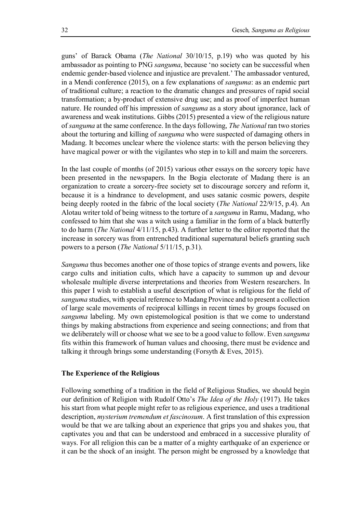guns' of Barack Obama (*The National* 30/10/15, p.19) who was quoted by his ambassador as pointing to PNG *sanguma*, because 'no society can be successful when endemic gender-based violence and injustice are prevalent.' The ambassador ventured, in a Mendi conference (2015), on a few explanations of *sanguma*: as an endemic part of traditional culture; a reaction to the dramatic changes and pressures of rapid social transformation; a by-product of extensive drug use; and as proof of imperfect human nature. He rounded off his impression of *sanguma* as a story about ignorance, lack of awareness and weak institutions. Gibbs (2015) presented a view of the religious nature of *sanguma* at the same conference. In the days following, *The National* ran two stories about the torturing and killing of *sanguma* who were suspected of damaging others in Madang. It becomes unclear where the violence starts: with the person believing they have magical power or with the vigilantes who step in to kill and maim the sorcerers.

In the last couple of months (of 2015) various other essays on the sorcery topic have been presented in the newspapers. In the Bogia electorate of Madang there is an organization to create a sorcery-free society set to discourage sorcery and reform it, because it is a hindrance to development, and uses satanic cosmic powers, despite being deeply rooted in the fabric of the local society (*The National* 22/9/15, p.4). An Alotau writer told of being witness to the torture of a *sanguma* in Ramu, Madang, who confessed to him that she was a witch using a familiar in the form of a black butterfly to do harm (*The National* 4/11/15, p.43). A further letter to the editor reported that the increase in sorcery was from entrenched traditional supernatural beliefs granting such powers to a person (*The National* 5/11/15, p.31).

*Sanguma* thus becomes another one of those topics of strange events and powers, like cargo cults and initiation cults, which have a capacity to summon up and devour wholesale multiple diverse interpretations and theories from Western researchers. In this paper I wish to establish a useful description of what is religious for the field of *sanguma* studies, with special reference to Madang Province and to present a collection of large scale movements of reciprocal killings in recent times by groups focused on *sanguma* labeling. My own epistemological position is that we come to understand things by making abstractions from experience and seeing connections; and from that we deliberately will or choose what we see to be a good value to follow. Even *sanguma* fits within this framework of human values and choosing, there must be evidence and talking it through brings some understanding (Forsyth & Eves, 2015).

# **The Experience of the Religious**

Following something of a tradition in the field of Religious Studies, we should begin our definition of Religion with Rudolf Otto's *The Idea of the Holy* (1917). He takes his start from what people might refer to as religious experience, and uses a traditional description, *mysterium tremendum et fascinosum*. A first translation of this expression would be that we are talking about an experience that grips you and shakes you, that captivates you and that can be understood and embraced in a successive plurality of ways. For all religion this can be a matter of a mighty earthquake of an experience or it can be the shock of an insight. The person might be engrossed by a knowledge that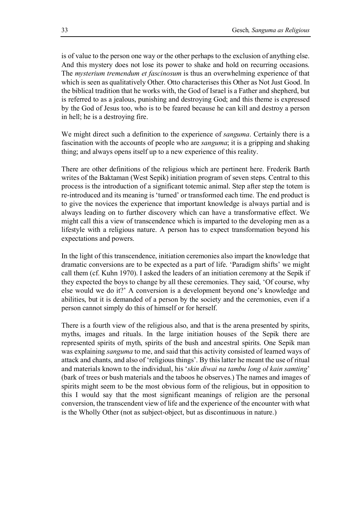is of value to the person one way or the other perhaps to the exclusion of anything else. And this mystery does not lose its power to shake and hold on recurring occasions. The *mysterium tremendum et fascinosum* is thus an overwhelming experience of that which is seen as qualitatively Other. Otto characterises this Other as Not Just Good. In the biblical tradition that he works with, the God of Israel is a Father and shepherd, but is referred to as a jealous, punishing and destroying God; and this theme is expressed by the God of Jesus too, who is to be feared because he can kill and destroy a person in hell; he is a destroying fire.

We might direct such a definition to the experience of *sanguma*. Certainly there is a fascination with the accounts of people who are *sanguma*; it is a gripping and shaking thing; and always opens itself up to a new experience of this reality.

There are other definitions of the religious which are pertinent here. Frederik Barth writes of the Baktaman (West Sepik) initiation program of seven steps. Central to this process is the introduction of a significant totemic animal. Step after step the totem is re-introduced and its meaning is 'turned' or transformed each time. The end product is to give the novices the experience that important knowledge is always partial and is always leading on to further discovery which can have a transformative effect. We might call this a view of transcendence which is imparted to the developing men as a lifestyle with a religious nature. A person has to expect transformation beyond his expectations and powers.

In the light of this transcendence, initiation ceremonies also impart the knowledge that dramatic conversions are to be expected as a part of life. 'Paradigm shifts' we might call them (cf. Kuhn 1970). I asked the leaders of an initiation ceremony at the Sepik if they expected the boys to change by all these ceremonies. They said, 'Of course, why else would we do it?' A conversion is a development beyond one's knowledge and abilities, but it is demanded of a person by the society and the ceremonies, even if a person cannot simply do this of himself or for herself.

There is a fourth view of the religious also, and that is the arena presented by spirits, myths, images and rituals. In the large initiation houses of the Sepik there are represented spirits of myth, spirits of the bush and ancestral spirits. One Sepik man was explaining *sanguma* to me, and said that this activity consisted of learned ways of attack and chants, and also of 'religious things'. By thislatter he meant the use of ritual and materials known to the individual, his '*skin diwai na tambu long ol kain samting*' (bark of trees or bush materials and the taboos he observes.) The names and images of spirits might seem to be the most obvious form of the religious, but in opposition to this I would say that the most significant meanings of religion are the personal conversion, the transcendent view of life and the experience of the encounter with what is the Wholly Other (not as subject-object, but as discontinuous in nature.)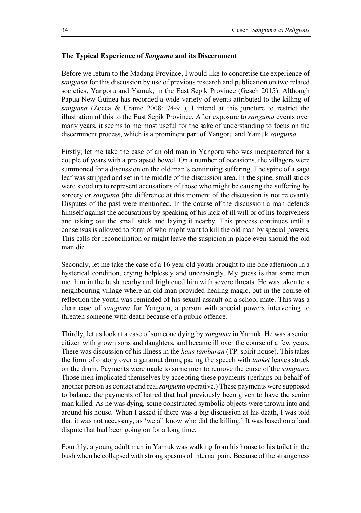# **The Typical Experience of** *Sanguma* **and its Discernment**

Before we return to the Madang Province, I would like to concretise the experience of *sanguma* for this discussion by use of previous research and publication on two related societies, Yangoru and Yamuk, in the East Sepik Province (Gesch 2015). Although Papua New Guinea has recorded a wide variety of events attributed to the killing of *sanguma* (Zocca & Urame 2008: 74-91), I intend at this juncture to restrict the illustration of this to the East Sepik Province. After exposure to *sanguma* events over many years, it seems to me most useful for the sake of understanding to focus on the discernment process, which is a prominent part of Yangoru and Yamuk *sanguma*.

Firstly, let me take the case of an old man in Yangoru who was incapacitated for a couple of years with a prolapsed bowel. On a number of occasions, the villagers were summoned for a discussion on the old man's continuing suffering. The spine of a sago leaf was stripped and set in the middle of the discussion area. In the spine, small sticks were stood up to represent accusations of those who might be causing the suffering by sorcery or *sanguma* (the difference at this moment of the discussion is not relevant). Disputes of the past were mentioned. In the course of the discussion a man defends himself against the accusations by speaking of his lack of ill will or of his forgiveness and taking out the small stick and laying it nearby. This process continues until a consensus is allowed to form of who might want to kill the old man by special powers. This calls for reconciliation or might leave the suspicion in place even should the old man die.

Secondly, let me take the case of a 16 year old youth brought to me one afternoon in a hysterical condition, crying helplessly and unceasingly. My guess is that some men met him in the bush nearby and frightened him with severe threats. He was taken to a neighbouring village where an old man provided healing magic, but in the course of reflection the youth was reminded of his sexual assault on a school mate. This was a clear case of *sanguma* for Yangoru, a person with special powers intervening to threaten someone with death because of a public offence.

Thirdly, let uslook at a case of someone dying by *sanguma* in Yamuk. He was a senior citizen with grown sons and daughters, and became ill over the course of a few years. There was discussion of his illness in the *haus tambaran* (TP: spirit house). This takes the form of oratory over a garamut drum, pacing the speech with *tanket* leaves struck on the drum. Payments were made to some men to remove the curse of the *sanguma*. Those men implicated themselves by accepting these payments (perhaps on behalf of another person as contact and real *sanguma* operative.) These payments were supposed to balance the payments of hatred that had previously been given to have the senior man killed. As he was dying, some constructed symbolic objects were thrown into and around his house. When I asked if there was a big discussion at his death, I was told that it was not necessary, as 'we all know who did the killing.' It was based on a land dispute that had been going on for a long time.

Fourthly, a young adult man in Yamuk was walking from his house to his toilet in the bush when he collapsed with strong spasms of internal pain. Because of the strangeness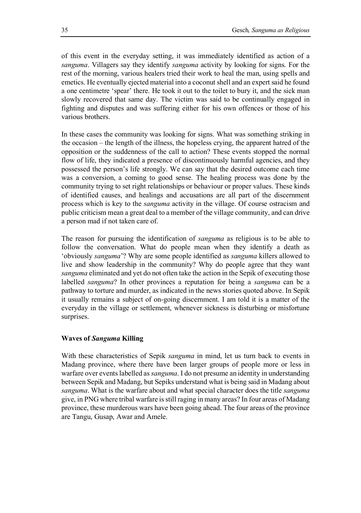of this event in the everyday setting, it was immediately identified as action of a *sanguma*. Villagers say they identify *sanguma* activity by looking for signs. For the rest of the morning, various healers tried their work to heal the man, using spells and emetics. He eventually ejected material into a coconut shell and an expert said he found a one centimetre 'spear' there. He took it out to the toilet to bury it, and the sick man slowly recovered that same day. The victim was said to be continually engaged in fighting and disputes and was suffering either for his own offences or those of his various brothers.

In these cases the community was looking for signs. What was something striking in the occasion – the length of the illness, the hopeless crying, the apparent hatred of the opposition or the suddenness of the call to action? These events stopped the normal flow of life, they indicated a presence of discontinuously harmful agencies, and they possessed the person's life strongly. We can say that the desired outcome each time was a conversion, a coming to good sense. The healing process was done by the community trying to set right relationships or behaviour or proper values. These kinds of identified causes, and healings and accusations are all part of the discernment process which is key to the *sanguma* activity in the village. Of course ostracism and public criticism mean a great deal to a member of the village community, and can drive a person mad if not taken care of.

The reason for pursuing the identification of *sanguma* as religious is to be able to follow the conversation. What do people mean when they identify a death as 'obviously *sanguma*'? Why are some people identified as *sanguma* killers allowed to live and show leadership in the community? Why do people agree that they want *sanguma* eliminated and yet do not often take the action in the Sepik of executing those labelled *sanguma*? In other provinces a reputation for being a *sanguma* can be a pathway to torture and murder, as indicated in the news stories quoted above. In Sepik it usually remains a subject of on-going discernment. I am told it is a matter of the everyday in the village or settlement, whenever sickness is disturbing or misfortune surprises.

# **Waves of** *Sanguma* **Killing**

With these characteristics of Sepik *sanguma* in mind, let us turn back to events in Madang province, where there have been larger groups of people more or less in warfare over eventslabelled as *sanguma*. I do not presume an identity in understanding between Sepik and Madang, but Sepiks understand what is being said in Madang about *sanguma*. What is the warfare about and what special character does the title *sanguma* give, in PNG where tribal warfare isstill raging in many areas? In four areas of Madang province, these murderous wars have been going ahead. The four areas of the province are Tangu, Gusap, Awar and Amele.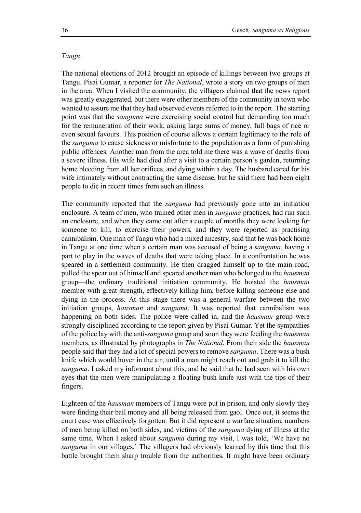#### *Tangu*

The national elections of 2012 brought an episode of killings between two groups at Tangu. Pisai Gumar, a reporter for *The National*, wrote a story on two groups of men in the area. When I visited the community, the villagers claimed that the news report was greatly exaggerated, but there were other members of the community in town who wanted to assure me that they had observed events referred to in the report. The starting point was that the *sanguma* were exercising social control but demanding too much for the remuneration of their work, asking large sums of money, full bags of rice or even sexual favours. This position of course allows a certain legitimacy to the role of the *sanguma* to cause sickness or misfortune to the population as a form of punishing public offences. Another man from the area told me there was a wave of deaths from a severe illness. His wife had died after a visit to a certain person's garden, returning home bleeding from all her orifices, and dying within a day. The husband cared for his wife intimately without contracting the same disease, but he said there had been eight people to die in recent times from such an illness.

The community reported that the *sanguma* had previously gone into an initiation enclosure. A team of men, who trained other men in *sanguma* practices, had run such an enclosure, and when they came out after a couple of months they were looking for someone to kill, to exercise their powers, and they were reported as practising cannibalism. One man of Tangu who had a mixed ancestry, said that he was back home in Tangu at one time when a certain man was accused of being a *sanguma*, having a part to play in the waves of deaths that were taking place. In a confrontation he was speared in a settlement community. He then dragged himself up to the main road, pulled the spear out of himself and speared another man who belonged to the *hausman* group—the ordinary traditional initiation community. He hoisted the *hausman* member with great strength, effectively killing him, before killing someone else and dying in the process. At this stage there was a general warfare between the two initiation groups, *hausman* and *sanguma*. It was reported that cannibalism was happening on both sides. The police were called in, and the *hausman* group were strongly disciplined according to the report given by Pisai Gumar. Yet the sympathies of the police lay with the anti-*sanguma* group and soon they were feeding the *hausman* members, as illustrated by photographs in *The National*. From their side the *hausman* people said that they had a lot of special powers to remove *sanguma*. There was a bush knife which would hover in the air, until a man might reach out and grab it to kill the *sanguma*. I asked my informant about this, and he said that he had seen with his own eyes that the men were manipulating a floating bush knife just with the tips of their fingers.

Eighteen of the *hausman* members of Tangu were put in prison, and only slowly they were finding their bail money and all being released from gaol. Once out, it seems the court case was effectively forgotten. But it did represent a warfare situation, numbers of men being killed on both sides, and victims of the *sanguma* dying of illness at the same time. When I asked about *sanguma* during my visit, I was told, 'We have no *sanguma* in our villages.' The villagers had obviously learned by this time that this battle brought them sharp trouble from the authorities. It might have been ordinary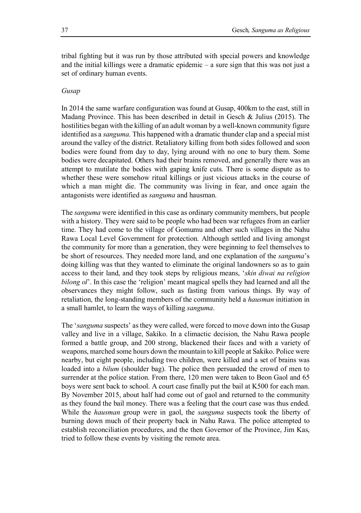tribal fighting but it was run by those attributed with special powers and knowledge and the initial killings were a dramatic epidemic – a sure sign that this was not just a set of ordinary human events.

# *Gusap*

In 2014 the same warfare configuration was found at Gusap, 400km to the east, still in Madang Province. This has been described in detail in Gesch  $\&$  Julius (2015). The hostilities began with the killing of an adult woman by a well-known community figure identified as a *sanguma*. This happened with a dramatic thunder clap and a special mist around the valley of the district. Retaliatory killing from both sides followed and soon bodies were found from day to day, lying around with no one to bury them. Some bodies were decapitated. Others had their brains removed, and generally there was an attempt to mutilate the bodies with gaping knife cuts. There is some dispute as to whether these were somehow ritual killings or just vicious attacks in the course of which a man might die. The community was living in fear, and once again the antagonists were identified as *sanguma* and hausman.

The *sanguma* were identified in this case as ordinary community members, but people with a history. They were said to be people who had been war refugees from an earlier time. They had come to the village of Gomumu and other such villages in the Nahu Rawa Local Level Government for protection. Although settled and living amongst the community for more than a generation, they were beginning to feel themselves to be short of resources. They needed more land, and one explanation of the *sanguma*'s doing killing was that they wanted to eliminate the original landowners so as to gain access to their land, and they took steps by religious means, '*skin diwai na religion bilong ol*'. In this case the 'religion' meant magical spells they had learned and all the observances they might follow, such as fasting from various things. By way of retaliation, the long-standing members of the community held a *hausman* initiation in a small hamlet, to learn the ways of killing *sanguma*.

The '*sanguma* suspects' asthey were called, were forced to move down into the Gusap valley and live in a village, Sakiko. In a climactic decision, the Nahu Rawa people formed a battle group, and 200 strong, blackened their faces and with a variety of weapons, marched some hours down the mountain to kill people at Sakiko. Police were nearby, but eight people, including two children, were killed and a set of brains was loaded into a *bilum* (shoulder bag). The police then persuaded the crowd of men to surrender at the police station. From there, 120 men were taken to Beon Gaol and 65 boys were sent back to school. A court case finally put the bail at K500 for each man. By November 2015, about half had come out of gaol and returned to the community as they found the bail money. There was a feeling that the court case was thus ended. While the *hausman* group were in gaol, the *sanguma* suspects took the liberty of burning down much of their property back in Nahu Rawa. The police attempted to establish reconciliation procedures, and the then Governor of the Province, Jim Kas, tried to follow these events by visiting the remote area.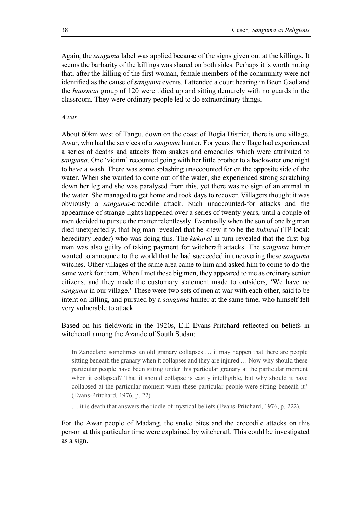Again, the *sanguma* label was applied because of the signs given out at the killings. It seems the barbarity of the killings was shared on both sides. Perhaps it is worth noting that, after the killing of the first woman, female members of the community were not identified as the cause of *sanguma* events. I attended a court hearing in Beon Gaol and the *hausman* group of 120 were tidied up and sitting demurely with no guards in the classroom. They were ordinary people led to do extraordinary things.

# *Awar*

About 60km west of Tangu, down on the coast of Bogia District, there is one village, Awar, who had the services of a *sanguma* hunter. For years the village had experienced a series of deaths and attacks from snakes and crocodiles which were attributed to *sanguma*. One 'victim' recounted going with her little brother to a backwater one night to have a wash. There was some splashing unaccounted for on the opposite side of the water. When she wanted to come out of the water, she experienced strong scratching down her leg and she was paralysed from this, yet there was no sign of an animal in the water. She managed to get home and took days to recover. Villagers thought it was obviously a *sanguma*-crocodile attack. Such unaccounted-for attacks and the appearance of strange lights happened over a series of twenty years, until a couple of men decided to pursue the matter relentlessly. Eventually when the son of one big man died unexpectedly, that big man revealed that he knew it to be the *kukurai* (TP local: hereditary leader) who was doing this. The *kukurai* in turn revealed that the first big man was also guilty of taking payment for witchcraft attacks. The *sanguma* hunter wanted to announce to the world that he had succeeded in uncovering these *sanguma* witches. Other villages of the same area came to him and asked him to come to do the same work for them. When I met these big men, they appeared to me as ordinary senior citizens, and they made the customary statement made to outsiders, 'We have no *sanguma* in our village.' These were two sets of men at war with each other, said to be intent on killing, and pursued by a *sanguma* hunter at the same time, who himself felt very vulnerable to attack.

Based on his fieldwork in the 1920s, E.E. Evans-Pritchard reflected on beliefs in witchcraft among the Azande of South Sudan:

In Zandeland sometimes an old granary collapses … it may happen that there are people sitting beneath the granary when it collapses and they are injured … Now why should these particular people have been sitting under this particular granary at the particular moment when it collapsed? That it should collapse is easily intelligible, but why should it have collapsed at the particular moment when these particular people were sitting beneath it? (Evans-Pritchard, 1976, p. 22).

… it is death that answers the riddle of mystical beliefs (Evans-Pritchard, 1976, p. 222).

For the Awar people of Madang, the snake bites and the crocodile attacks on this person at this particular time were explained by witchcraft. This could be investigated as a sign.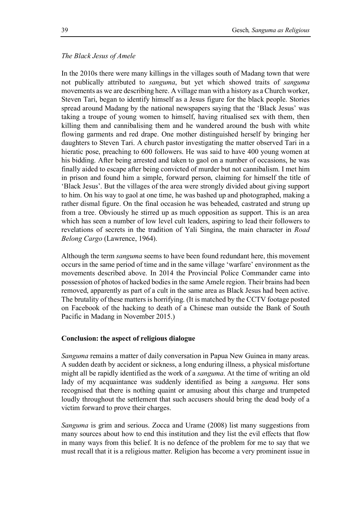#### *The Black Jesus of Amele*

In the 2010s there were many killings in the villages south of Madang town that were not publically attributed to *sanguma*, but yet which showed traits of *sanguma* movements as we are describing here. A village man with a history as a Church worker, Steven Tari, began to identify himself as a Jesus figure for the black people. Stories spread around Madang by the national newspapers saying that the 'Black Jesus' was taking a troupe of young women to himself, having ritualised sex with them, then killing them and cannibalising them and he wandered around the bush with white flowing garments and red drape. One mother distinguished herself by bringing her daughters to Steven Tari. A church pastor investigating the matter observed Tari in a hieratic pose, preaching to 600 followers. He was said to have 400 young women at his bidding. After being arrested and taken to gaol on a number of occasions, he was finally aided to escape after being convicted of murder but not cannibalism. I met him in prison and found him a simple, forward person, claiming for himself the title of 'Black Jesus'. But the villages of the area were strongly divided about giving support to him. On his way to gaol at one time, he was bashed up and photographed, making a rather dismal figure. On the final occasion he was beheaded, castrated and strung up from a tree. Obviously he stirred up as much opposition as support. This is an area which has seen a number of low level cult leaders, aspiring to lead their followers to revelations of secrets in the tradition of Yali Singina, the main character in *Road Belong Cargo* (Lawrence, 1964).

Although the term *sanguma* seems to have been found redundant here, this movement occurs in the same period of time and in the same village 'warfare' environment as the movements described above. In 2014 the Provincial Police Commander came into possession of photos of hacked bodiesin the same Amele region. Their brains had been removed, apparently as part of a cult in the same area as Black Jesus had been active. The brutality of these matters is horrifying. (It is matched by the CCTV footage posted on Facebook of the hacking to death of a Chinese man outside the Bank of South Pacific in Madang in November 2015.)

# **Conclusion: the aspect of religious dialogue**

*Sanguma* remains a matter of daily conversation in Papua New Guinea in many areas. A sudden death by accident or sickness, a long enduring illness, a physical misfortune might all be rapidly identified as the work of a *sanguma*. At the time of writing an old lady of my acquaintance was suddenly identified as being a *sanguma*. Her sons recognised that there is nothing quaint or amusing about this charge and trumpeted loudly throughout the settlement that such accusers should bring the dead body of a victim forward to prove their charges.

*Sanguma* is grim and serious. Zocca and Urame (2008) list many suggestions from many sources about how to end this institution and they list the evil effects that flow in many ways from this belief. It is no defence of the problem for me to say that we must recall that it is a religious matter. Religion has become a very prominent issue in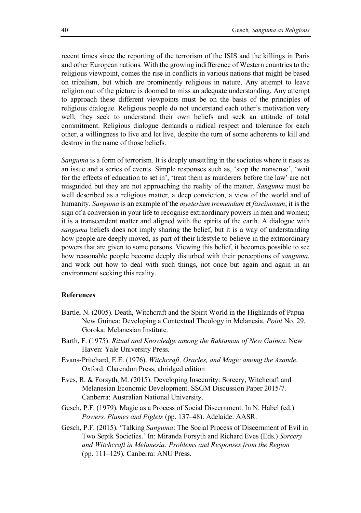recent times since the reporting of the terrorism of the ISIS and the killings in Paris and other European nations. With the growing indifference of Western countries to the religious viewpoint, comes the rise in conflicts in various nations that might be based on tribalism, but which are prominently religious in nature. Any attempt to leave religion out of the picture is doomed to miss an adequate understanding. Any attempt to approach these different viewpoints must be on the basis of the principles of religious dialogue. Religious people do not understand each other's motivation very well; they seek to understand their own beliefs and seek an attitude of total commitment. Religious dialogue demands a radical respect and tolerance for each other, a willingness to live and let live, despite the turn of some adherents to kill and destroy in the name of those beliefs.

*Sanguma* is a form of terrorism. It is deeply unsettling in the societies where it rises as an issue and a series of events. Simple responses such as, 'stop the nonsense', 'wait for the effects of education to set in', 'treat them as murderers before the law' are not misguided but they are not approaching the reality of the matter. *Sanguma* must be well described as a religious matter, a deep conviction, a view of the world and of humanity. *Sanguma* is an example of the *mysterium tremendum* et *fascinosum*; it is the sign of a conversion in your life to recognise extraordinary powers in men and women; it is a transcendent matter and aligned with the spirits of the earth. A dialogue with *sanguma* beliefs does not imply sharing the belief, but it is a way of understanding how people are deeply moved, as part of their lifestyle to believe in the extraordinary powers that are given to some persons. Viewing this belief, it becomes possible to see how reasonable people become deeply disturbed with their perceptions of *sanguma*, and work out how to deal with such things, not once but again and again in an environment seeking this reality.

#### **References**

- Bartle, N. (2005). Death, Witchcraft and the Spirit World in the Highlands of Papua New Guinea: Developing a Contextual Theology in Melanesia. *Point* No. 29. Goroka: Melanesian Institute.
- Barth, F. (1975). *Ritual and Knowledge among the Baktaman of New Guinea*. New Haven: Yale University Press.
- Evans-Pritchard, E.E. (1976). *Witchcraft, Oracles, and Magic among the Azande*. Oxford: Clarendon Press, abridged edition
- Eves, R. & Forsyth, M. (2015). Developing Insecurity: Sorcery, Witchcraft and Melanesian Economic Development. SSGM Discussion Paper 2015/7. Canberra: Australian National University.
- Gesch, P.F. (1979). Magic as a Process of Social Discernment. In N. Habel (ed.) *Powers, Plumes and Piglets* (pp. 137–48). Adelaide: AASR.
- Gesch, P.F. (2015). 'Talking *Sanguma*: The Social Process of Discernment of Evil in Two Sepik Societies.' In: Miranda Forsyth and Richard Eves (Eds.) *Sorcery and Witchcraft in Melanesia: Problems and Responses from the Region* (pp. 111–129)*.* Canberra: ANU Press.